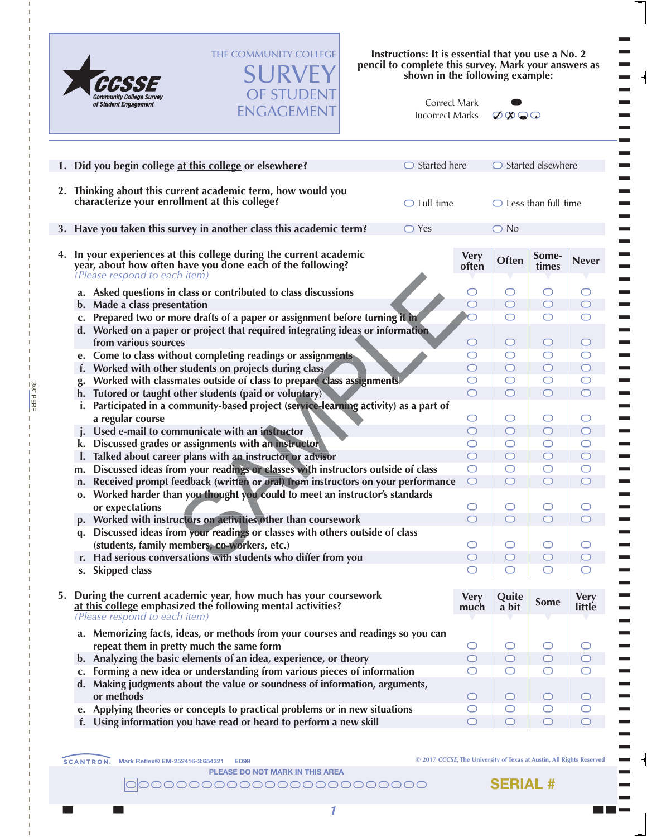

3/8" PERF

3/8" PERF

THE COMMUNITY COLLEGE **SURVEY** OF STUDENT

ENGAGEMENT

**Instructions: It is essential that you use a No. 2 pencil to complete this survey. Mark your answers as shown in the following example:**

| Correct Mark    |
|-----------------|
| Incorrect Marks |



T T T T T T T T T T T T T T T T T T T T T T T T T T T T T T  $\blacksquare$ T T T T T T T T T T T T T T T T T T T T T T T T T T T T T

| 1. Did you begin college at this college or elsewhere?                                                                                                            | $\bigcirc$ Started here |                                   | $\bigcirc$ Started elsewhere   |                     |                                   |  |  |  |  |
|-------------------------------------------------------------------------------------------------------------------------------------------------------------------|-------------------------|-----------------------------------|--------------------------------|---------------------|-----------------------------------|--|--|--|--|
| 2. Thinking about this current academic term, how would you<br>characterize your enrollment at this college?                                                      | $\bigcirc$ Full-time    |                                   | $\bigcirc$ Less than full-time |                     |                                   |  |  |  |  |
| 3. Have you taken this survey in another class this academic term?                                                                                                | $\bigcirc$ Yes          |                                   | $\bigcirc$ No                  |                     |                                   |  |  |  |  |
| 4. In your experiences at this college during the current academic<br>year, about how often have you done each of the following?<br>(Please respond to each item) |                         | <b>Very</b><br>often              | Often                          | Some-<br>times      | <b>Never</b>                      |  |  |  |  |
| a. Asked questions in class or contributed to class discussions                                                                                                   |                         | O                                 | O                              | O                   | O                                 |  |  |  |  |
| b. Made a class presentation                                                                                                                                      |                         | $\circ$                           | $\circ$                        | $\circ$             | $\circlearrowright$               |  |  |  |  |
| c. Prepared two or more drafts of a paper or assignment before turning it in                                                                                      |                         |                                   | $\circlearrowright$            | O                   | $\circlearrowright$               |  |  |  |  |
| d. Worked on a paper or project that required integrating ideas or information<br>from various sources                                                            |                         | $\circ$                           | $\circ$                        | $\circ$             | $\circ$                           |  |  |  |  |
| e. Come to class without completing readings or assignments                                                                                                       |                         | $\circlearrowright$<br>$\bigcirc$ | $\circlearrowright$<br>$\circ$ | O                   | $\circlearrowright$<br>$\bigcirc$ |  |  |  |  |
| f. Worked with other students on projects during class<br>Worked with classmates outside of class to prepare class assignments.                                   |                         | O                                 | $\bigcirc$                     | $\circ$<br>O        | $\bigcirc$                        |  |  |  |  |
| Tutored or taught other students (paid or voluntary)<br>h.                                                                                                        |                         | $\circ$                           | $\circ$                        | $\circ$             | $\bigcirc$                        |  |  |  |  |
| Participated in a community-based project (service-learning activity) as a part of<br>i.                                                                          |                         |                                   |                                |                     |                                   |  |  |  |  |
| a regular course                                                                                                                                                  |                         | $\circlearrowright$               | $\bigcirc$                     | O                   | $\circlearrowright$               |  |  |  |  |
| Used e-mail to communicate with an instructor<br>$\mathbf{I}$                                                                                                     |                         | $\bigcirc$                        | $\circ$                        | $\circ$             | $\bigcirc$                        |  |  |  |  |
| Discussed grades or assignments with an instructor<br>k.                                                                                                          |                         | $\circlearrowright$               | $\bigcirc$                     | O                   | $\bigcirc$                        |  |  |  |  |
| I. Talked about career plans with an instructor or advisor                                                                                                        |                         | $\bigcirc$                        | $\bigcirc$                     | $\circ$             | $\bigcirc$                        |  |  |  |  |
| Discussed ideas from your readings or classes with instructors outside of class<br>m.                                                                             |                         | $\bigcirc$                        | $\bigcirc$                     | $\circlearrowright$ | $\bigcirc$                        |  |  |  |  |
| Received prompt feedback (written or oral) from instructors on your performance<br>n.                                                                             |                         | $\bigcirc$                        | $\circ$                        | $\circlearrowright$ | $\bigcirc$                        |  |  |  |  |
| o. Worked harder than you thought you could to meet an instructor's standards<br>or expectations                                                                  |                         | $\circlearrowright$               | $\bigcirc$                     | $\circlearrowright$ | $\circlearrowright$               |  |  |  |  |
| p. Worked with instructors on activities other than coursework                                                                                                    |                         | $\bigcirc$                        | $\circlearrowright$            | $\circ$             | $\bigcirc$                        |  |  |  |  |
| Discussed ideas from your readings or classes with others outside of class<br>q.<br>(students, family members, co-workers, etc.)                                  |                         | $\circlearrowright$               | $\circlearrowright$            | $\circlearrowright$ | O                                 |  |  |  |  |
| r. Had serious conversations with students who differ from you                                                                                                    |                         | $\circ$                           | $\circ$                        | $\circ$             | $\circ$                           |  |  |  |  |
| s. Skipped class                                                                                                                                                  |                         | O                                 |                                |                     |                                   |  |  |  |  |
| 5. During the current academic year, how much has your coursework<br>at this college emphasized the following mental activities?<br>(Please respond to each item) |                         | <b>Very</b><br>much               | Quite<br>a bit                 | <b>Some</b>         | <b>Very</b><br>little             |  |  |  |  |
| a. Memorizing facts, ideas, or methods from your courses and readings so you can                                                                                  |                         |                                   |                                |                     |                                   |  |  |  |  |
| repeat them in pretty much the same form                                                                                                                          |                         | $\circlearrowright$               | $\bigcirc$                     | $\bigcirc$          | O                                 |  |  |  |  |
| b. Analyzing the basic elements of an idea, experience, or theory                                                                                                 |                         | $\bigcirc$                        | $\bigcirc$                     | $\bigcirc$          | $\circ$                           |  |  |  |  |
| c. Forming a new idea or understanding from various pieces of information                                                                                         |                         | $\bigcirc$                        | $\circlearrowright$            | $\bigcirc$          | O                                 |  |  |  |  |
| d. Making judgments about the value or soundness of information, arguments,<br>or methods                                                                         |                         | $\bigcirc$                        | $\circ$                        | $\circ$             | $\circ$                           |  |  |  |  |
| e. Applying theories or concepts to practical problems or in new situations                                                                                       |                         | $\bigcirc$                        | $\bigcirc$                     | $\circ$             | $\bigcirc$                        |  |  |  |  |
| f. Using information you have read or heard to perform a new skill                                                                                                |                         | $\bigcirc$                        | $\bigcirc$                     | $\circ$             | $\bigcirc$                        |  |  |  |  |

**© 2017** *CCCSE***, The University of Texas at Austin, All Rights Reserved**

**PLEASE DO NOT MARK IN THIS AREA**

The contract of the contract of the contract of the contract of the contract of the contract of the contract of the contract of the contract of the contract of the contract of the contract of the contract of the contract \\\\\\\\\\\\\\\\\\\\\\\\

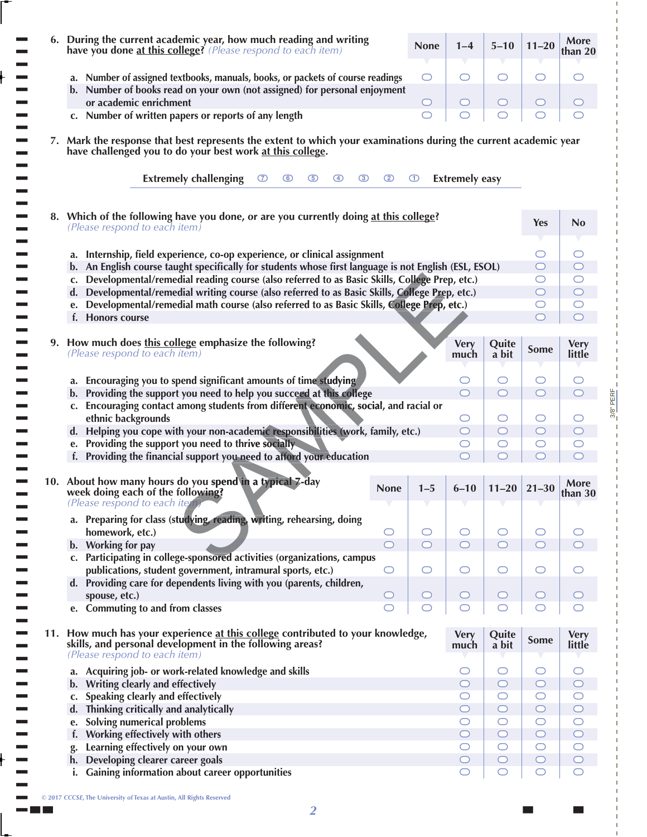| 6. During the current academic year, how much reading and writing<br>have you done at this college? (Please respond to each item)                                             |                                                       |                     | <b>None</b>         | $1 - 4$                        | $5 - 10$            | $11 - 20$                | More<br>than 20                   |
|-------------------------------------------------------------------------------------------------------------------------------------------------------------------------------|-------------------------------------------------------|---------------------|---------------------|--------------------------------|---------------------|--------------------------|-----------------------------------|
| a. Number of assigned textbooks, manuals, books, or packets of course readings                                                                                                |                                                       |                     | O                   | O                              | O                   | O                        | ◯                                 |
| b. Number of books read on your own (not assigned) for personal enjoyment                                                                                                     |                                                       |                     |                     |                                |                     |                          |                                   |
| or academic enrichment                                                                                                                                                        |                                                       |                     | $\circlearrowright$ | $\circ$                        | $\circlearrowright$ | $\circlearrowright$      | $\circ$                           |
| c. Number of written papers or reports of any length                                                                                                                          |                                                       |                     | ◯                   | O                              | O                   | O                        | $\circlearrowright$               |
| 7. Mark the response that best represents the extent to which your examinations during the current academic year<br>have challenged you to do your best work at this college. |                                                       |                     |                     |                                |                     |                          |                                   |
| <b>Extremely challenging</b><br>$\circ$                                                                                                                                       | $\circledcirc$<br>$\circled{3}$<br>$\circ$<br>$\circ$ | $\circled{2}$       | $\bigcirc$          | <b>Extremely easy</b>          |                     |                          |                                   |
| 8. Which of the following have you done, or are you currently doing at this college?<br>(Please respond to each item)                                                         |                                                       |                     |                     |                                |                     | <b>Yes</b>               | No                                |
|                                                                                                                                                                               |                                                       |                     |                     |                                |                     |                          |                                   |
| a. Internship, field experience, co-op experience, or clinical assignment                                                                                                     |                                                       |                     |                     |                                |                     | O                        | O                                 |
| b. An English course taught specifically for students whose first language is not English (ESL, ESOL)                                                                         |                                                       |                     |                     |                                |                     | $\circ$                  | $\circ$                           |
| Developmental/remedial reading course (also referred to as Basic Skills, College Prep, etc.)<br>C.                                                                            |                                                       |                     |                     |                                |                     | O                        | $\circlearrowright$               |
| Developmental/remedial writing course (also referred to as Basic Skills, College Prep, etc.)<br>d.                                                                            |                                                       |                     |                     |                                |                     | O                        | $\circ$                           |
| Developmental/remedial math course (also referred to as Basic Skills, College Prep, etc.)<br>e.                                                                               |                                                       |                     |                     |                                |                     | O<br>⊂                   | $\circlearrowright$<br>$\bigcirc$ |
| f. Honors course                                                                                                                                                              |                                                       |                     |                     |                                |                     |                          |                                   |
| 9. How much does this college emphasize the following?                                                                                                                        |                                                       |                     |                     | <b>Very</b>                    | Quite               |                          | <b>Very</b>                       |
| (Please respond to each item)                                                                                                                                                 |                                                       |                     |                     | much                           | a bit               | <b>Some</b>              | little                            |
| a. Encouraging you to spend significant amounts of time studying                                                                                                              |                                                       |                     |                     | $\cup$                         | $\circlearrowright$ | O                        | $\circlearrowright$               |
| Providing the support you need to help you succeed at this college<br>b.                                                                                                      |                                                       |                     |                     | $\bigcirc$                     | $\circlearrowright$ | $\bigcirc$               | $\circ$                           |
| Encouraging contact among students from different economic, social, and racial or<br>C.                                                                                       |                                                       |                     |                     |                                |                     |                          |                                   |
| ethnic backgrounds                                                                                                                                                            |                                                       |                     |                     | $\circlearrowright$            | $\circlearrowright$ | O                        | O                                 |
| Helping you cope with your non-academic responsibilities (work, family, etc.)<br>$d_{\cdot}$                                                                                  |                                                       |                     |                     | $\circ$                        | $\circ$             | $\circ$                  | $\circ$                           |
| Providing the support you need to thrive socially<br>e.                                                                                                                       |                                                       |                     |                     | O                              | $\circlearrowright$ | O                        | $\circlearrowright$               |
| f. Providing the financial support you need to afford your education                                                                                                          |                                                       |                     |                     |                                | ◯                   | ⊂                        |                                   |
| 10. About how many hours do you spend in a typical 7-day                                                                                                                      |                                                       |                     |                     |                                |                     |                          | More                              |
|                                                                                                                                                                               |                                                       | <b>None</b>         | $1 - 5$             | $6 - 10$                       | $11 - 20$           |                          |                                   |
| week doing each of the following?<br>(Please respond to each item)                                                                                                            |                                                       |                     |                     |                                |                     | $21 - 30$                | than 30                           |
| a. Preparing for class (studying, reading, writing, rehearsing, doing                                                                                                         |                                                       |                     |                     |                                |                     |                          |                                   |
| homework, etc.)                                                                                                                                                               |                                                       | O                   | $\circlearrowright$ | $\circ$                        | $\bigcirc$          | $\bigcirc$               | O                                 |
| b. Working for pay                                                                                                                                                            |                                                       | $\circ$             | $\bigcirc$          | $\bigcirc$                     | $\bigcirc$          | $\bigcirc$               | $\circ$                           |
| Participating in college-sponsored activities (organizations, campus                                                                                                          |                                                       |                     |                     |                                |                     |                          |                                   |
| publications, student government, intramural sports, etc.)                                                                                                                    |                                                       | $\bigcirc$          | $\circlearrowright$ | $\circlearrowright$            | $\circlearrowright$ | $\circlearrowright$      |                                   |
| d. Providing care for dependents living with you (parents, children,                                                                                                          |                                                       | $\circ$             | O                   | $\circ$                        | $\circ$             | $\circ$                  | $\circ$                           |
| spouse, etc.)<br>e. Commuting to and from classes                                                                                                                             |                                                       | $\circlearrowright$ | $\bigcirc$          |                                | $\bigcirc$          | O                        |                                   |
| 11. How much has your experience at this college contributed to your knowledge,                                                                                               |                                                       |                     |                     | <b>Very</b>                    | Quite               | <b>Some</b>              | <b>Very</b>                       |
| skills, and personal development in the following areas?<br>(Please respond to each item)                                                                                     |                                                       |                     |                     | much                           | a bit               |                          | little                            |
| a. Acquiring job- or work-related knowledge and skills                                                                                                                        |                                                       |                     |                     | O                              | O                   | O                        | O                                 |
| b. Writing clearly and effectively                                                                                                                                            |                                                       |                     |                     | $\circ$                        | $\bigcirc$          | $\bigcirc$               | $\circ$                           |
| Speaking clearly and effectively<br>C.                                                                                                                                        |                                                       |                     |                     | $\circlearrowright$            | $\bigcirc$          | $\bigcirc$               | $\circ$                           |
| d. Thinking critically and analytically                                                                                                                                       |                                                       |                     |                     | $\circ$                        | $\bigcirc$          | $\circ$                  | $\bigcirc$                        |
| <b>Solving numerical problems</b><br>e.                                                                                                                                       |                                                       |                     |                     | $\circlearrowright$            | O                   | $\bigcirc$               | $\circ$                           |
| Working effectively with others<br>f.                                                                                                                                         |                                                       |                     |                     | $\circ$                        | $\bigcirc$          | $\circ$                  | $\bigcirc$                        |
| Learning effectively on your own<br>Developing clearer career goals<br>h.                                                                                                     |                                                       |                     |                     | $\circlearrowright$<br>$\circ$ | O<br>$\bigcirc$     | $\bigcirc$<br>$\bigcirc$ | $\circ$<br>$\bigcirc$             |

3/8" PERF

 $3/8$ " PERF

t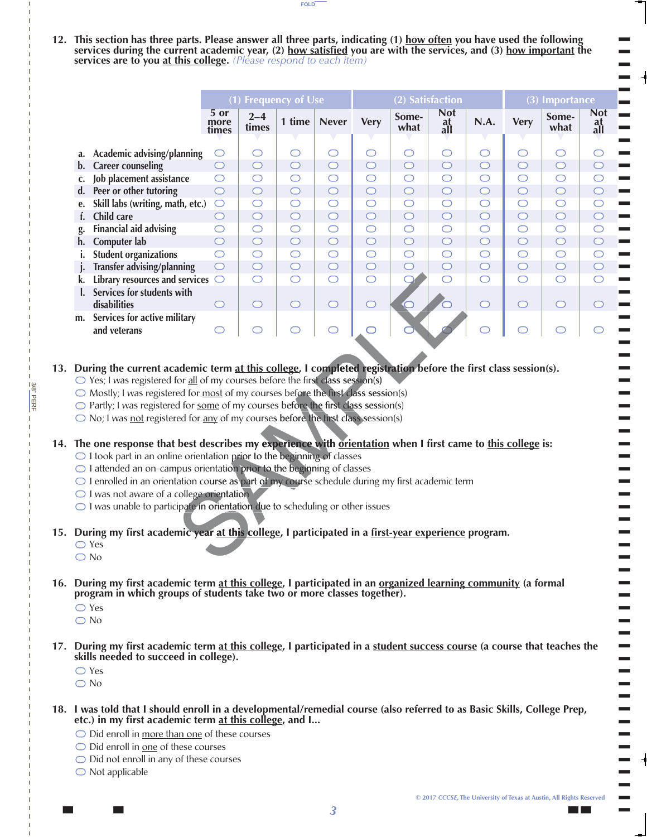**12. This section has three parts. Please answer all three parts, indicating (1) how often you have used the following services during the current academic year, (2) how satisfied you are with the services, and (3) how important the services are to you at this college.** *(Please respond to each item)*

**FOLD**

|                                                                                                                                                                                                                                                                                                                                                                                                                                                                                                                                                                                                                                                                                                                                                                                                                                                                                                                                                                                                                                                                                                                                                                                           |                                                                                                                                                                                                                                          | (1) Frequency of Use  |                  |            |              |                     |               | (2) Satisfaction        |            |             |               | (3) Importance          |                                              |
|-------------------------------------------------------------------------------------------------------------------------------------------------------------------------------------------------------------------------------------------------------------------------------------------------------------------------------------------------------------------------------------------------------------------------------------------------------------------------------------------------------------------------------------------------------------------------------------------------------------------------------------------------------------------------------------------------------------------------------------------------------------------------------------------------------------------------------------------------------------------------------------------------------------------------------------------------------------------------------------------------------------------------------------------------------------------------------------------------------------------------------------------------------------------------------------------|------------------------------------------------------------------------------------------------------------------------------------------------------------------------------------------------------------------------------------------|-----------------------|------------------|------------|--------------|---------------------|---------------|-------------------------|------------|-------------|---------------|-------------------------|----------------------------------------------|
|                                                                                                                                                                                                                                                                                                                                                                                                                                                                                                                                                                                                                                                                                                                                                                                                                                                                                                                                                                                                                                                                                                                                                                                           |                                                                                                                                                                                                                                          | 5 or<br>more<br>times | $2 - 4$<br>times | 1 time     | <b>Never</b> | <b>Very</b>         | Some-<br>what | <b>Not</b><br>at<br>all | N.A.       | <b>Very</b> | Some-<br>what | <b>Not</b><br>at<br>all |                                              |
| a.                                                                                                                                                                                                                                                                                                                                                                                                                                                                                                                                                                                                                                                                                                                                                                                                                                                                                                                                                                                                                                                                                                                                                                                        | Academic advising/planning                                                                                                                                                                                                               | $\circ$               | $\circ$          | $\bigcirc$ | $\bigcirc$   | $\bigcirc$          | $\bigcirc$    | $\circ$                 | $\bigcirc$ | $\bigcirc$  | $\circ$       | O                       |                                              |
| $\mathbf{b}$ .                                                                                                                                                                                                                                                                                                                                                                                                                                                                                                                                                                                                                                                                                                                                                                                                                                                                                                                                                                                                                                                                                                                                                                            | <b>Career counseling</b>                                                                                                                                                                                                                 | $\bigcirc$            | $\circ$          | $\circ$    | $\circ$      | $\bigcirc$          | $\circ$       | $\circ$                 | $\circ$    | $\bigcirc$  | $\bigcirc$    | $\circ$                 |                                              |
| c.                                                                                                                                                                                                                                                                                                                                                                                                                                                                                                                                                                                                                                                                                                                                                                                                                                                                                                                                                                                                                                                                                                                                                                                        | Job placement assistance                                                                                                                                                                                                                 | $\bigcirc$            | $\bigcirc$       | $\bigcirc$ | $\bigcirc$   | $\bigcirc$          | $\bigcirc$    | $\circ$                 | $\bigcirc$ | $\bigcirc$  | $\bigcirc$    | $\circ$                 |                                              |
| d.                                                                                                                                                                                                                                                                                                                                                                                                                                                                                                                                                                                                                                                                                                                                                                                                                                                                                                                                                                                                                                                                                                                                                                                        | Peer or other tutoring                                                                                                                                                                                                                   | $\bigcirc$            | $\bigcirc$       | $\circ$    | $\bigcirc$   | $\bigcirc$          | $\bigcirc$    | $\bigcirc$              | $\circ$    | $\bigcirc$  | $\bigcirc$    | $\bigcirc$              |                                              |
| e.                                                                                                                                                                                                                                                                                                                                                                                                                                                                                                                                                                                                                                                                                                                                                                                                                                                                                                                                                                                                                                                                                                                                                                                        | Skill labs (writing, math, etc.)                                                                                                                                                                                                         | $\bigcirc$            | $\bigcirc$       | $\bigcirc$ | $\bigcirc$   | $\bigcirc$          | $\bigcirc$    | $\circ$                 | $\bigcirc$ | $\bigcirc$  | $\bigcirc$    | $\bigcirc$              |                                              |
| f.                                                                                                                                                                                                                                                                                                                                                                                                                                                                                                                                                                                                                                                                                                                                                                                                                                                                                                                                                                                                                                                                                                                                                                                        | <b>Child care</b>                                                                                                                                                                                                                        | $\circ$               | $\bigcirc$       | $\bigcirc$ | $\circ$      | $\bigcirc$          | $\bigcirc$    | $\bigcirc$              | $\bigcirc$ | $\bigcirc$  | $\bigcirc$    | $\circ$                 |                                              |
| g.                                                                                                                                                                                                                                                                                                                                                                                                                                                                                                                                                                                                                                                                                                                                                                                                                                                                                                                                                                                                                                                                                                                                                                                        | <b>Financial aid advising</b>                                                                                                                                                                                                            | $\bigcirc$            | $\bigcirc$       | $\bigcirc$ | $\bigcirc$   | $\bigcirc$          | $\bigcirc$    | $\circ$                 | $\bigcirc$ | $\bigcirc$  | $\bigcirc$    | $\bigcirc$              |                                              |
| h.                                                                                                                                                                                                                                                                                                                                                                                                                                                                                                                                                                                                                                                                                                                                                                                                                                                                                                                                                                                                                                                                                                                                                                                        | Computer lab                                                                                                                                                                                                                             | $\bigcirc$            | $\bigcirc$       | $\circ$    | $\circ$      | $\bigcirc$          | $\bigcirc$    | $\bigcirc$              | $\bigcirc$ | $\bigcirc$  | $\bigcirc$    | $\circ$                 |                                              |
| i.                                                                                                                                                                                                                                                                                                                                                                                                                                                                                                                                                                                                                                                                                                                                                                                                                                                                                                                                                                                                                                                                                                                                                                                        | <b>Student organizations</b>                                                                                                                                                                                                             | $\bigcirc$            | $\bigcirc$       | $\bigcirc$ | $\bigcirc$   | $\bigcirc$          | $\bigcirc$    | $\bigcirc$              | $\bigcirc$ | $\bigcirc$  | $\bigcirc$    | $\bigcirc$              |                                              |
|                                                                                                                                                                                                                                                                                                                                                                                                                                                                                                                                                                                                                                                                                                                                                                                                                                                                                                                                                                                                                                                                                                                                                                                           | Transfer advising/planning                                                                                                                                                                                                               | $\circ$               | $\bigcirc$       | $\bigcirc$ | $\circ$      | $\bigcirc$          | $\bigcirc$    | $\circ$                 | $\bigcirc$ | $\bigcirc$  | $\bigcirc$    | $\circ$                 |                                              |
| k.                                                                                                                                                                                                                                                                                                                                                                                                                                                                                                                                                                                                                                                                                                                                                                                                                                                                                                                                                                                                                                                                                                                                                                                        | Library resources and services $\bigcirc$                                                                                                                                                                                                |                       | $\bigcirc$       | $\bigcirc$ | $\bigcirc$   | $\circlearrowright$ |               | $\bigcirc$              | $\bigcirc$ | $\bigcirc$  | $\bigcirc$    | O                       |                                              |
|                                                                                                                                                                                                                                                                                                                                                                                                                                                                                                                                                                                                                                                                                                                                                                                                                                                                                                                                                                                                                                                                                                                                                                                           | Services for students with                                                                                                                                                                                                               |                       |                  |            |              |                     |               |                         |            |             |               |                         |                                              |
|                                                                                                                                                                                                                                                                                                                                                                                                                                                                                                                                                                                                                                                                                                                                                                                                                                                                                                                                                                                                                                                                                                                                                                                           | disabilities                                                                                                                                                                                                                             | $\circ$               | $\bigcirc$       | $\bigcirc$ | $\bigcirc$   | $\bigcirc$          | $\bigcirc$    |                         | $\bigcirc$ | $\bigcirc$  | $\bigcirc$    | C                       |                                              |
|                                                                                                                                                                                                                                                                                                                                                                                                                                                                                                                                                                                                                                                                                                                                                                                                                                                                                                                                                                                                                                                                                                                                                                                           | m. Services for active military                                                                                                                                                                                                          |                       |                  |            |              |                     |               |                         |            |             |               |                         |                                              |
|                                                                                                                                                                                                                                                                                                                                                                                                                                                                                                                                                                                                                                                                                                                                                                                                                                                                                                                                                                                                                                                                                                                                                                                           | and veterans                                                                                                                                                                                                                             | $\circlearrowright$   |                  |            | ⌒            |                     |               |                         |            |             |               |                         |                                              |
| During the current academic term at this college, I completed registration before the first class session(s).<br>$\bigcirc$ Yes; I was registered for all of my courses before the first class session(s)<br>$\bigcirc$ Mostly; I was registered for most of my courses before the first class session(s)<br>○ Partly; I was registered for some of my courses before the first class session(s)<br>$\bigcirc$ No; I was <u>not</u> registered for <u>any</u> of my courses before the first class session(s)<br>The one response that best describes my experience with orientation when I first came to this college is:<br>$\bigcirc$ I took part in an online orientation prior to the beginning of classes<br>$\bigcirc$ I attended an on-campus orientation prior to the beginning of classes<br>○ I enrolled in an orientation course as part of my course schedule during my first academic term<br>$\bigcirc$ I was not aware of a college orientation<br>O I was unable to participate in orientation due to scheduling or other issues<br>During my first academic year at this college, I participated in a first-year experience program.<br>$\bigcirc$ Yes<br>$\bigcirc$ No |                                                                                                                                                                                                                                          |                       |                  |            |              |                     |               |                         |            |             |               |                         |                                              |
| During my first academic term at this college, I participated in an organized learning community (a formal<br>program in which groups of students take two or more classes together).<br>$\bigcirc$ Yes<br>$\bigcirc$ No<br>i<br>T<br>Ξ<br>During my first academic term at this college, I participated in a student success course (a course that teaches the<br>skills needed to succeed in college).                                                                                                                                                                                                                                                                                                                                                                                                                                                                                                                                                                                                                                                                                                                                                                                  |                                                                                                                                                                                                                                          |                       |                  |            |              |                     |               |                         |            |             |               |                         |                                              |
| $\bigcirc$ Yes<br>$\bigcirc$ No                                                                                                                                                                                                                                                                                                                                                                                                                                                                                                                                                                                                                                                                                                                                                                                                                                                                                                                                                                                                                                                                                                                                                           | I was told that I should enroll in a developmental/remedial course (also referred to as Basic Skills, College Prep,<br>etc.) in my first academic term at this college, and I<br>$\bigcirc$ Did enroll in more than one of these courses |                       |                  |            |              |                     |               |                         |            |             |               |                         | -<br>۰<br>$\overline{\phantom{0}}$<br>Ξ<br>÷ |

## **13. During the current academic term at this college, I completed registration before the first class session(s).**

- Yes; I was registered for all of my courses before the first class session(s)
- $\bigcirc$  Mostly; I was registered for most of my courses before the first class session(s)
- ◯ Partly; I was registered for some of my courses before the first class session(s)
- No; I was not registered for any of my courses before the first class session(s)

## $\bigcirc$   $\bigcirc$   $\bigcirc$   $\bigcirc$   $\bigcirc$   $\bigcirc$   $\bigcirc$   $\bigcirc$   $\bigcirc$   $\bigcirc$   $\bigcirc$   $\bigcirc$  **14. The one response that best describes my experience with orientation when I first came to this college is: or o**

- I took part in an online orientation prior to the beginning of classes
- ◯ I attended an on-campus orientation prior to the beginning of classes
- $\bigcirc$ I enrolled in an orientation course as part of my course schedule during my first academic term
- ◯ I was not aware of a college orientation O O O O O
- $\bigcirc$  I was not aware of a college orientation<br> $\bigcirc$  I was unable to participate in orientation due to scheduling or other issues
- **15. During my first academic year at this college, I participated in a first-year experience program. ic co c c**
	- Yes

3/8" PERF

3/8"PERF

- » No
- $\bigcirc$   $\bigcirc$   $\bigcirc$   $\bigcirc$   $\bigcirc$ ○○○○○○ Du ○○ Du o Du o Du ski ○○  **16. During my first academic term at this college, I participated in an organized learning community (a formal program in which groups of students take two or more classes together).**
	- Yes
	- » No
- $\bigcirc$ <br> $\bigcirc$ <br> $\bigcirc$ <br> $\bigcirc$ <br> $\bigcirc$ <br> $\bigcirc$  **17. During my first academic term at this college, I participated in a student success course (a course that teaches the skills needed to succeed in college).**
	- Yes

- \\\\ **18. I was told that I should enroll in a developmental/remedial course (also referred to as Basic Skills, College Prep, etc.) in my first academic term at this college, and I...**
	- $\bigcirc$  Did enroll in more than one of these courses
	- ◯ Did enroll in <u>one</u> of these courses
	- O Did not enroll in any of these courses
	- » Not applicable

T T T T

T T T T T  $\blacksquare$ T T T T T T T T T T T T T T T T T T T T T T T T T T T T T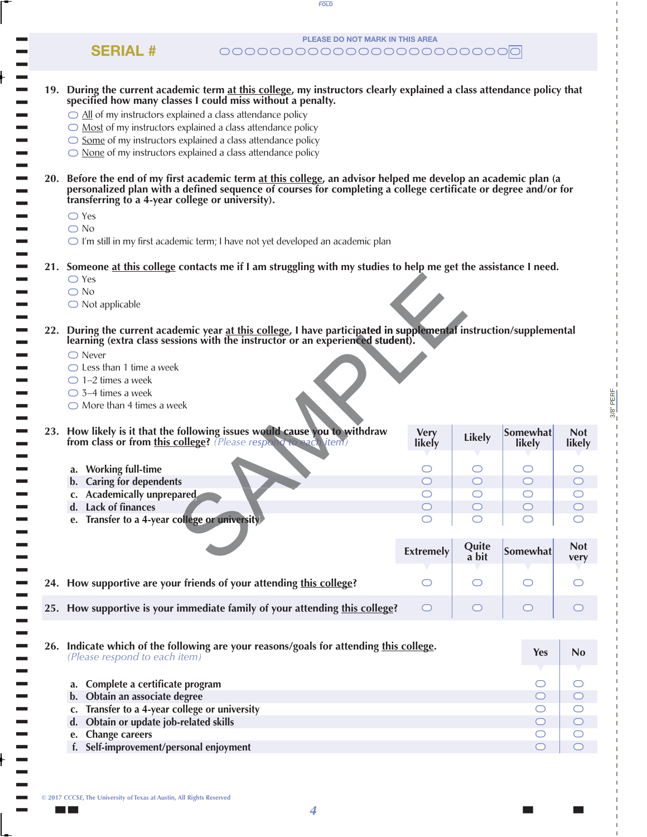| PLEASE DO NOT MARK IN THIS AREA<br><b>SERIAL #</b>                                                                                                                                                                                                                                   |                  |                |                     |                      |
|--------------------------------------------------------------------------------------------------------------------------------------------------------------------------------------------------------------------------------------------------------------------------------------|------------------|----------------|---------------------|----------------------|
| 19. During the current academic term at this college, my instructors clearly explained a class attendance policy that                                                                                                                                                                |                  |                |                     |                      |
| specified how many classes I could miss without a penalty.                                                                                                                                                                                                                           |                  |                |                     |                      |
| $\bigcirc$ All of my instructors explained a class attendance policy                                                                                                                                                                                                                 |                  |                |                     |                      |
| $\bigcirc$ Most of my instructors explained a class attendance policy                                                                                                                                                                                                                |                  |                |                     |                      |
| $\bigcirc$ Some of my instructors explained a class attendance policy                                                                                                                                                                                                                |                  |                |                     |                      |
| $\bigcirc$ None of my instructors explained a class attendance policy                                                                                                                                                                                                                |                  |                |                     |                      |
| 20. Before the end of my first academic term at this college, an advisor helped me develop an academic plan (a<br>personalized plan with a defined sequence of courses for completing a college certificate or degree and/or for<br>transferring to a 4-year college or university). |                  |                |                     |                      |
| $\bigcirc$ Yes                                                                                                                                                                                                                                                                       |                  |                |                     |                      |
| $\bigcirc$ No                                                                                                                                                                                                                                                                        |                  |                |                     |                      |
| $\bigcirc$ I'm still in my first academic term; I have not yet developed an academic plan                                                                                                                                                                                            |                  |                |                     |                      |
| 21. Someone at this college contacts me if I am struggling with my studies to help me get the assistance I need.<br>$\bigcirc$ Yes                                                                                                                                                   |                  |                |                     |                      |
| $\bigcirc$ No                                                                                                                                                                                                                                                                        |                  |                |                     |                      |
| $\bigcirc$ Not applicable                                                                                                                                                                                                                                                            |                  |                |                     |                      |
|                                                                                                                                                                                                                                                                                      |                  |                |                     |                      |
| 22. During the current academic year at this college, I have participated in supplemental instruction/supplemental<br>learning (extra class sessions with the instructor or an experienced student).                                                                                 |                  |                |                     |                      |
| $\bigcirc$ Never                                                                                                                                                                                                                                                                     |                  |                |                     |                      |
| $\bigcirc$ Less than 1 time a week                                                                                                                                                                                                                                                   |                  |                |                     |                      |
| $\bigcirc$ 1-2 times a week                                                                                                                                                                                                                                                          |                  |                |                     |                      |
| $\bigcirc$ 3-4 times a week                                                                                                                                                                                                                                                          |                  |                |                     |                      |
| $\bigcirc$ More than 4 times a week                                                                                                                                                                                                                                                  |                  |                |                     |                      |
| 23. How likely is it that the following issues would cause you to withdraw                                                                                                                                                                                                           | <b>Very</b>      |                | Somewhat            |                      |
|                                                                                                                                                                                                                                                                                      |                  |                |                     |                      |
| from class or from this college? (Please response to each vitem)                                                                                                                                                                                                                     | likely           | <b>Likely</b>  | likely              | <b>Not</b><br>likely |
|                                                                                                                                                                                                                                                                                      |                  | O              | O                   |                      |
| a. Working full-time                                                                                                                                                                                                                                                                 |                  | $\circ$        | O                   |                      |
| b. Caring for dependents<br>c. Academically unprepared.                                                                                                                                                                                                                              | O                | $\bigcirc$     | O                   | O                    |
| d. Lack of finances                                                                                                                                                                                                                                                                  | $\bigcirc$       | $\circ$        | $\bigcirc$          | O                    |
| e. Transfer to a 4-year college or university                                                                                                                                                                                                                                        |                  |                |                     |                      |
|                                                                                                                                                                                                                                                                                      |                  |                |                     |                      |
|                                                                                                                                                                                                                                                                                      | <b>Extremely</b> | Quite<br>a bit | Somewhat            | <b>Not</b><br>very   |
| 24. How supportive are your friends of your attending this college?                                                                                                                                                                                                                  | ◯                | ◯              | $\bigcirc$          |                      |
| 25. How supportive is your immediate family of your attending this college?                                                                                                                                                                                                          | O                | O              | $\circ$             | $\cup$               |
|                                                                                                                                                                                                                                                                                      |                  |                |                     |                      |
| 26. Indicate which of the following are your reasons/goals for attending this college.<br>(Please respond to each item)                                                                                                                                                              |                  |                | <b>Yes</b>          | No                   |
| a. Complete a certificate program                                                                                                                                                                                                                                                    |                  |                | $\circlearrowright$ | O                    |
| b. Obtain an associate degree                                                                                                                                                                                                                                                        |                  |                | $\circ$             | $\circ$              |
| Transfer to a 4-year college or university<br>c.                                                                                                                                                                                                                                     |                  |                | O                   | $\circlearrowright$  |
| Obtain or update job-related skills<br>d.                                                                                                                                                                                                                                            |                  |                | $\circ$             | O                    |
| <b>Change careers</b><br>e.<br>f. Self-improvement/personal enjoyment                                                                                                                                                                                                                |                  |                | O                   | $\circlearrowright$  |

**FOLD**

3/8" PERF

 $3/8$ " PERF

**© 2017** *CCCSE***, The University of Texas at Austin, All Rights Reserved**

t t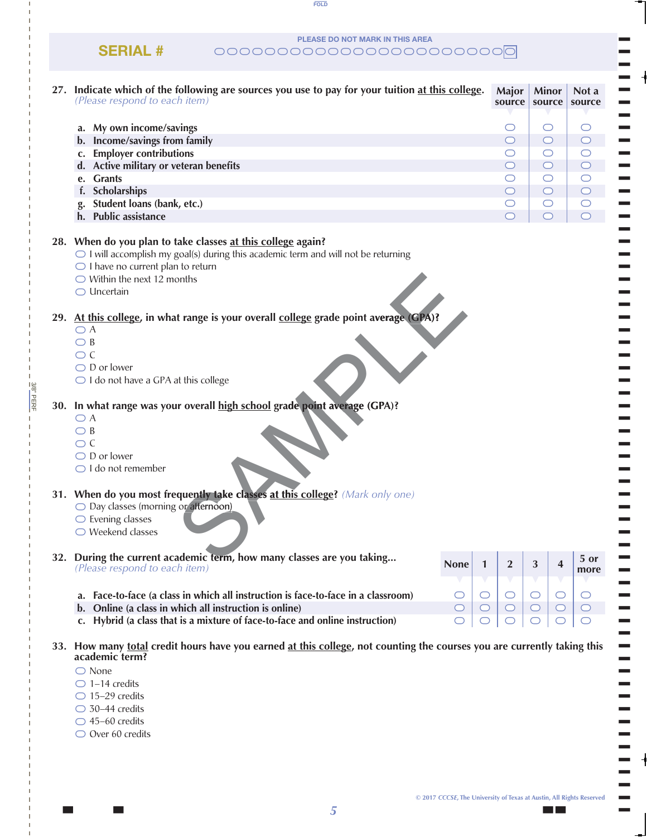**PLEASE DO NOT MARK IN THIS AREA**

**FOLD**

**SERIAL #** \\\\\\\\\\\\\\\\\\\\\\\\

| 27. Indicate which of the following are sources you use to pay for your tuition at this college.<br>(Please respond to each item)                                                                                                                                         |                             | Major<br>source                | <b>Minor</b><br>source | Not a<br>source          |
|---------------------------------------------------------------------------------------------------------------------------------------------------------------------------------------------------------------------------------------------------------------------------|-----------------------------|--------------------------------|------------------------|--------------------------|
|                                                                                                                                                                                                                                                                           |                             |                                |                        |                          |
| a. My own income/savings                                                                                                                                                                                                                                                  |                             | O                              | $\circ$                | O                        |
| b. Income/savings from family                                                                                                                                                                                                                                             |                             | $\circ$                        | $\circ$                | $\circ$                  |
| c. Employer contributions                                                                                                                                                                                                                                                 |                             | O                              | $\circ$                | $\circ$<br>$\bigcirc$    |
| d. Active military or veteran benefits                                                                                                                                                                                                                                    |                             | $\circ$                        | $\circ$                |                          |
| e. Grants                                                                                                                                                                                                                                                                 |                             | O                              | $\circ$                | $\bigcirc$<br>$\bigcirc$ |
| f. Scholarships                                                                                                                                                                                                                                                           |                             | $\circ$<br>$\circlearrowright$ | $\circ$<br>$\circ$     | $\bigcirc$               |
| Student loans (bank, etc.)<br>h. Public assistance                                                                                                                                                                                                                        |                             | $\circ$                        | $\circ$                | $\bigcirc$               |
|                                                                                                                                                                                                                                                                           |                             |                                |                        |                          |
| 28. When do you plan to take classes at this college again?<br>$\bigcirc$ I will accomplish my goal(s) during this academic term and will not be returning<br>$\bigcirc$ I have no current plan to return<br>$\bigcirc$ Within the next 12 months<br>$\bigcirc$ Uncertain |                             |                                |                        |                          |
| 29. At this college, in what range is your overall college grade point average (CPA)?                                                                                                                                                                                     |                             |                                |                        |                          |
| $\bigcirc$ A                                                                                                                                                                                                                                                              |                             |                                |                        |                          |
| $\bigcirc$ B                                                                                                                                                                                                                                                              |                             |                                |                        |                          |
| $\bigcirc$ C                                                                                                                                                                                                                                                              |                             |                                |                        |                          |
| $\bigcirc$ D or lower                                                                                                                                                                                                                                                     |                             |                                |                        |                          |
| $\bigcirc$ I do not have a GPA at this college                                                                                                                                                                                                                            |                             |                                |                        |                          |
|                                                                                                                                                                                                                                                                           |                             |                                |                        |                          |
| 30. In what range was your overall high school grade point average (GPA)?<br>$\bigcirc$ A<br>$\bigcirc$ B<br>$\bigcirc$ C<br>$\bigcirc$ D or lower<br>$\bigcirc$ I do not remember                                                                                        |                             |                                |                        |                          |
| 31. When do you most frequently take classes at this college? (Mark only one)<br>◯ Day classes (morning or afternoon)<br>$\bigcirc$ Evening classes<br>$\bigcirc$ Weekend classes                                                                                         |                             |                                |                        |                          |
| 32. During the current academic term, how many classes are you taking                                                                                                                                                                                                     | <b>None</b><br>$\mathbf{1}$ | $\boldsymbol{2}$               | 3                      | 5 or<br>4                |
| (Please respond to each item)                                                                                                                                                                                                                                             |                             |                                |                        | more                     |
|                                                                                                                                                                                                                                                                           |                             |                                |                        |                          |
| a. Face-to-face (a class in which all instruction is face-to-face in a classroom)                                                                                                                                                                                         | $\circ$<br>$\circ$          | $\bigcirc$                     | $\bigcirc$             | $\circ$<br>$\circ$       |
| b. Online (a class in which all instruction is online)                                                                                                                                                                                                                    | $\bigcirc$<br>$\bigcirc$    | $\bigcirc$                     | $\bigcirc$             | $\bigcirc$               |
| c. Hybrid (a class that is a mixture of face-to-face and online instruction)                                                                                                                                                                                              |                             |                                |                        |                          |
| 33. How many total credit hours have you earned at this college, not counting the courses you are currently taking this<br>academic term?<br>$\bigcirc$ None                                                                                                              |                             |                                |                        |                          |
| $\bigcirc$ 1-14 credits                                                                                                                                                                                                                                                   |                             |                                |                        |                          |
| $\bigcirc$ 15-29 credits                                                                                                                                                                                                                                                  |                             |                                |                        |                          |
| $\bigcirc$ 30-44 credits                                                                                                                                                                                                                                                  |                             |                                |                        |                          |
| $\bigcirc$ 45-60 credits                                                                                                                                                                                                                                                  |                             |                                |                        |                          |
| $\bigcirc$ Over 60 credits                                                                                                                                                                                                                                                |                             |                                |                        |                          |

3/8" PERF

 $38"$ PERF

||

T T T T T T T T T T T T T T T T T T T T T T T T T T T T T T  $\blacksquare$ T T T T T T T T T T T T T T T T T T T T T T T T T T T T T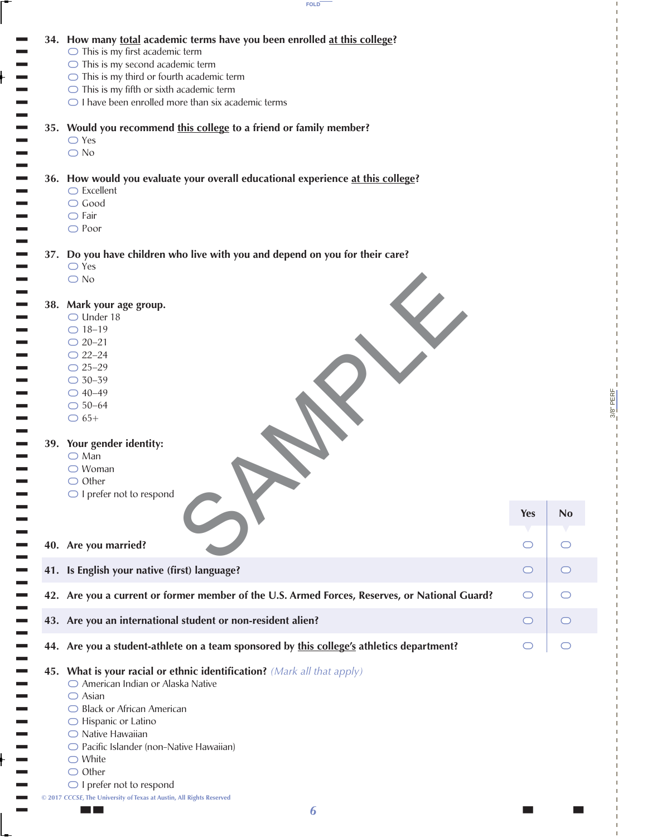

|  | 34. How many total academic terms have you been enrolled at this college?                               |            |                |
|--|---------------------------------------------------------------------------------------------------------|------------|----------------|
|  | $\bigcirc$ This is my first academic term                                                               |            |                |
|  | $\bigcirc$ This is my second academic term                                                              |            |                |
|  | $\bigcirc$ This is my third or fourth academic term                                                     |            |                |
|  | $\bigcirc$ This is my fifth or sixth academic term                                                      |            |                |
|  | $\bigcirc$ I have been enrolled more than six academic terms                                            |            |                |
|  | 35. Would you recommend this college to a friend or family member?                                      |            |                |
|  | $\bigcirc$ Yes                                                                                          |            |                |
|  | $\bigcirc$ No                                                                                           |            |                |
|  |                                                                                                         |            |                |
|  | 36. How would you evaluate your overall educational experience at this college?<br>$\bigcirc$ Excellent |            |                |
|  | $\bigcirc$ Good                                                                                         |            |                |
|  | $\bigcirc$ Fair                                                                                         |            |                |
|  | $\bigcirc$ Poor                                                                                         |            |                |
|  |                                                                                                         |            |                |
|  | 37. Do you have children who live with you and depend on you for their care?                            |            |                |
|  | $\bigcirc$ Yes                                                                                          |            |                |
|  | $\bigcirc$ No                                                                                           |            |                |
|  | 38. Mark your age group.                                                                                |            |                |
|  | $\bigcirc$ Under 18                                                                                     |            |                |
|  | $\bigcirc$ 18-19                                                                                        |            |                |
|  | $\bigcirc$ 20-21                                                                                        |            |                |
|  | $O$ 22-24                                                                                               |            |                |
|  | $O$ 25-29                                                                                               |            |                |
|  | $\bigcirc$ 30-39                                                                                        |            |                |
|  | $O$ 40-49                                                                                               |            |                |
|  | $\bigcirc$ 50-64                                                                                        |            |                |
|  | $\bigcirc$ 65+                                                                                          |            |                |
|  |                                                                                                         |            |                |
|  | 39. Your gender identity:                                                                               |            |                |
|  | $\bigcirc$ Man<br>$\bigcirc$ Woman                                                                      |            |                |
|  | $\bigcirc$ Other                                                                                        |            |                |
|  | $\bigcirc$ I prefer not to respond                                                                      |            |                |
|  |                                                                                                         |            |                |
|  |                                                                                                         | <b>Yes</b> | N <sub>0</sub> |
|  |                                                                                                         |            |                |
|  | 40. Are you married?                                                                                    | ◯          | O              |
|  |                                                                                                         |            |                |
|  | 41. Is English your native (first) language?                                                            | ◯          | $\cup$         |
|  | 42. Are you a current or former member of the U.S. Armed Forces, Reserves, or National Guard?           | ◯          | O              |
|  |                                                                                                         |            |                |
|  | 43. Are you an international student or non-resident alien?                                             | ◯          | $\cup$         |
|  | 44. Are you a student-athlete on a team sponsored by this college's athletics department?               |            |                |
|  |                                                                                                         |            |                |
|  | 45. What is your racial or ethnic identification? (Mark all that apply)                                 |            |                |
|  | ○ American Indian or Alaska Native                                                                      |            |                |
|  | $\bigcirc$ Asian                                                                                        |            |                |
|  | ◯ Black or African American                                                                             |            |                |
|  | $\bigcirc$ Hispanic or Latino                                                                           |            |                |
|  | $\bigcirc$ Native Hawaiian                                                                              |            |                |
|  | ○ Pacific Islander (non-Native Hawaiian)                                                                |            |                |
|  | $\bigcirc$ White                                                                                        |            |                |
|  | $\bigcirc$ Other                                                                                        |            |                |
|  | $\bigcirc$ I prefer not to respond                                                                      |            |                |
|  | © 2017 CCCSE, The University of Texas at Austin, All Rights Reserved                                    |            |                |

3/8" PERF

 $- \frac{3/8^{\circ}}{PERF}$ 

**Yes No**

 $\circ$ 

 $\circ$ 

the contract of  $\overline{\phantom{a}}$  is a set of  $\overline{\phantom{a}}$  for  $\overline{\phantom{a}}$  for  $\overline{\phantom{a}}$  . In the contract of  $\overline{\phantom{a}}$ *6*

||

 $\vdash$ 

 $\vdash$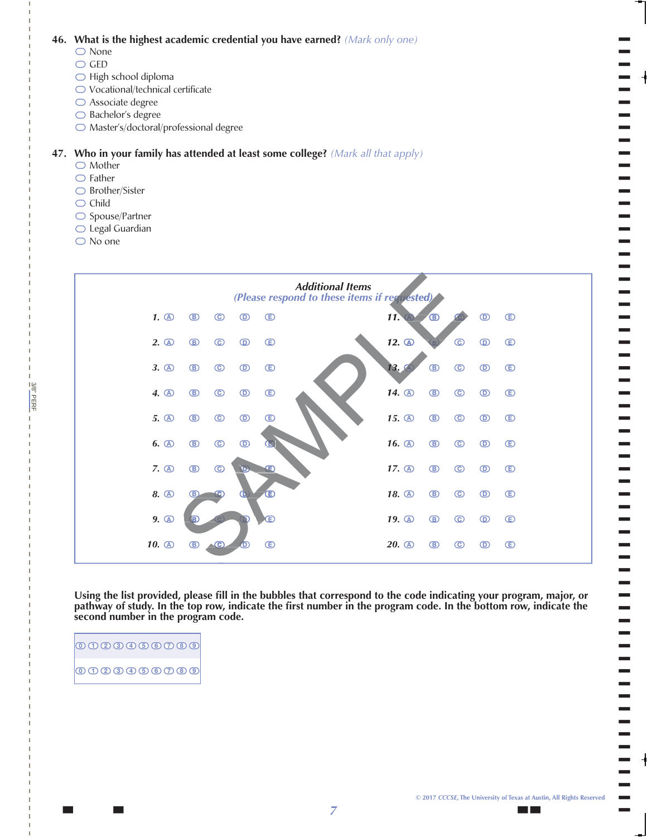**46. What is the highest academic credential you have earned?** *(Mark only one)*

- 00000000 None
- » GED
- » High school diploma
- » Vocational/technical certificate
- » Associate degree
- » Bachelor's degree
- » Master's/doctoral/professional degree

# 0000000 MD00000000  **47. Who in your family has attended at least some college?** *(Mark all that apply)*

- Mother
- » Father
- » Brother/Sister
- » Child
- » Spouse/Partner
- » Legal Guardian
- » No one

3/8" PERF

3/8"PERF



 **Using the list provided, please fill in the bubbles that correspond to the code indicating your program, major, or**  pathway of study. In the top row, indicate the first number in the program code. In the bottom row, indicate the **second number in the program code.**

| $\boxed{{\tt 0}\,{\tt 0}\,{\tt 0}\,{\tt 0}\,{\tt 0}\,{\tt 0}\,{\tt 0}\,{\tt 0}}$ |
|----------------------------------------------------------------------------------|

||